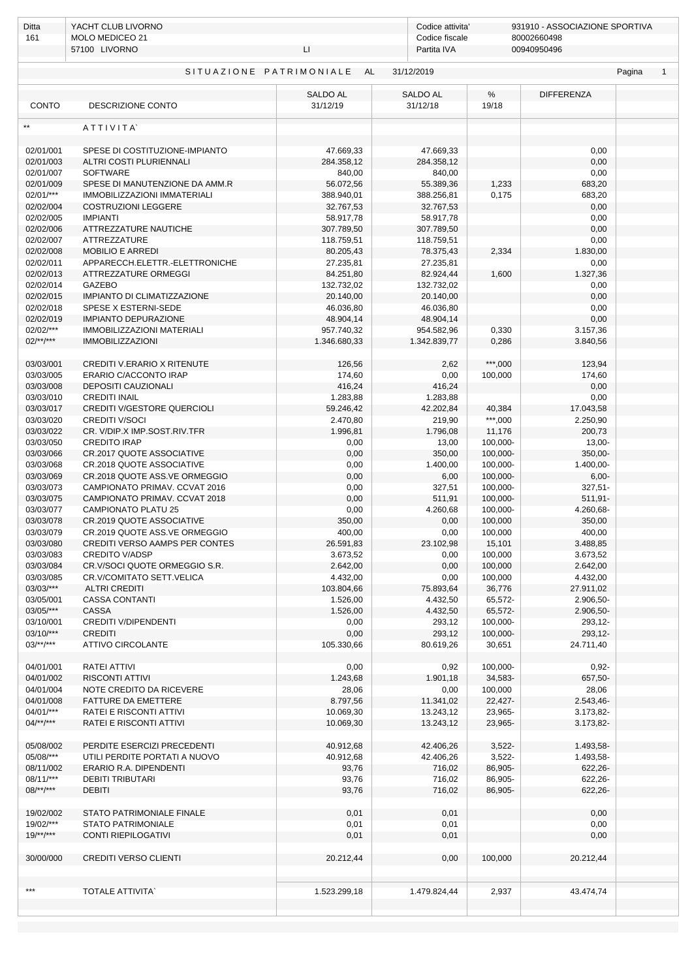| Ditta                                                                 | YACHT CLUB LIVORNO                                              |                             |                             | 931910 - ASSOCIAZIONE SPORTIVA<br>Codice attivita' |                        |  |  |  |
|-----------------------------------------------------------------------|-----------------------------------------------------------------|-----------------------------|-----------------------------|----------------------------------------------------|------------------------|--|--|--|
| 161                                                                   | MOLO MEDICEO 21<br>57100 LIVORNO<br>LI.                         |                             | Codice fiscale              | 80002660498<br>Partita IVA<br>00940950496          |                        |  |  |  |
|                                                                       |                                                                 |                             |                             |                                                    |                        |  |  |  |
| SITUAZIONE PATRIMONIALE<br>AL<br>31/12/2019<br>Pagina<br>$\mathbf{1}$ |                                                                 |                             |                             |                                                    |                        |  |  |  |
| CONTO                                                                 | DESCRIZIONE CONTO                                               | <b>SALDO AL</b><br>31/12/19 | <b>SALDO AL</b><br>31/12/18 | $\%$<br>19/18                                      | <b>DIFFERENZA</b>      |  |  |  |
| $**$                                                                  | ATTIVITA                                                        |                             |                             |                                                    |                        |  |  |  |
|                                                                       |                                                                 |                             |                             |                                                    |                        |  |  |  |
| 02/01/001<br>02/01/003                                                | SPESE DI COSTITUZIONE-IMPIANTO<br>ALTRI COSTI PLURIENNALI       | 47.669,33<br>284.358,12     | 47.669,33<br>284.358,12     |                                                    | 0,00<br>0,00           |  |  |  |
| 02/01/007                                                             | <b>SOFTWARE</b>                                                 | 840,00                      | 840,00                      |                                                    | 0,00                   |  |  |  |
| 02/01/009                                                             | SPESE DI MANUTENZIONE DA AMM.R                                  | 56.072,56                   | 55.389,36                   | 1,233                                              | 683,20                 |  |  |  |
| 02/01/***                                                             | IMMOBILIZZAZIONI IMMATERIALI                                    | 388.940,01                  | 388.256,81                  | 0,175                                              | 683,20                 |  |  |  |
| 02/02/004                                                             | <b>COSTRUZIONI LEGGERE</b>                                      | 32.767,53                   | 32.767,53                   |                                                    | 0,00                   |  |  |  |
| 02/02/005<br>02/02/006                                                | <b>IMPIANTI</b><br>ATTREZZATURE NAUTICHE                        | 58.917,78<br>307.789,50     | 58.917,78<br>307.789,50     |                                                    | 0,00<br>0,00           |  |  |  |
| 02/02/007                                                             | ATTREZZATURE                                                    | 118.759,51                  | 118.759,51                  |                                                    | 0,00                   |  |  |  |
| 02/02/008                                                             | <b>MOBILIO E ARREDI</b>                                         | 80.205,43                   | 78.375,43                   | 2,334                                              | 1.830,00               |  |  |  |
| 02/02/011                                                             | APPARECCH.ELETTR.-ELETTRONICHE                                  | 27.235,81                   | 27.235,81                   |                                                    | 0,00                   |  |  |  |
| 02/02/013                                                             | ATTREZZATURE ORMEGGI<br>GAZEBO                                  | 84.251,80                   | 82.924,44                   | 1,600                                              | 1.327,36               |  |  |  |
| 02/02/014<br>02/02/015                                                | IMPIANTO DI CLIMATIZZAZIONE                                     | 132.732,02<br>20.140,00     | 132.732,02<br>20.140,00     |                                                    | 0,00<br>0,00           |  |  |  |
| 02/02/018                                                             | SPESE X ESTERNI-SEDE                                            | 46.036,80                   | 46.036,80                   |                                                    | 0,00                   |  |  |  |
| 02/02/019                                                             | <b>IMPIANTO DEPURAZIONE</b>                                     | 48.904,14                   | 48.904,14                   |                                                    | 0,00                   |  |  |  |
| 02/02/***                                                             | IMMOBILIZZAZIONI MATERIALI                                      | 957.740,32                  | 954.582,96                  | 0,330                                              | 3.157,36               |  |  |  |
| $02$ /**/***                                                          | <b>IMMOBILIZZAZIONI</b>                                         | 1.346.680,33                | 1.342.839,77                | 0,286                                              | 3.840,56               |  |  |  |
| 03/03/001                                                             | <b>CREDITI V.ERARIO X RITENUTE</b>                              | 126,56                      | 2,62                        | ***,000                                            | 123,94                 |  |  |  |
| 03/03/005                                                             | ERARIO C/ACCONTO IRAP                                           | 174,60                      | 0,00                        | 100,000                                            | 174,60                 |  |  |  |
| 03/03/008                                                             | DEPOSITI CAUZIONALI                                             | 416,24                      | 416,24                      |                                                    | 0,00                   |  |  |  |
| 03/03/010<br>03/03/017                                                | <b>CREDITI INAIL</b><br>CREDITI V/GESTORE QUERCIOLI             | 1.283,88<br>59.246,42       | 1.283,88<br>42.202,84       | 40,384                                             | 0,00<br>17.043,58      |  |  |  |
| 03/03/020                                                             | <b>CREDITI V/SOCI</b>                                           | 2.470,80                    | 219,90                      | $***,000$                                          | 2.250,90               |  |  |  |
| 03/03/022                                                             | CR. V/DIP.X IMP.SOST.RIV.TFR                                    | 1.996,81                    | 1.796,08                    | 11,176                                             | 200,73                 |  |  |  |
| 03/03/050                                                             | <b>CREDITO IRAP</b>                                             | 0,00                        | 13,00                       | 100,000-                                           | $13,00-$               |  |  |  |
| 03/03/066                                                             | CR.2017 QUOTE ASSOCIATIVE                                       | 0,00                        | 350,00                      | 100,000-                                           | 350,00-                |  |  |  |
| 03/03/068<br>03/03/069                                                | CR.2018 QUOTE ASSOCIATIVE<br>CR.2018 QUOTE ASS.VE ORMEGGIO      | 0,00<br>0,00                | 1.400,00<br>6,00            | 100,000-<br>100,000-                               | 1.400,00-<br>$6,00-$   |  |  |  |
| 03/03/073                                                             | CAMPIONATO PRIMAV. CCVAT 2016                                   | 0,00                        | 327,51                      | 100,000-                                           | 327,51-                |  |  |  |
| 03/03/075                                                             | CAMPIONATO PRIMAV. CCVAT 2018                                   | 0,00                        | 511,91                      | 100,000-                                           | 511,91-                |  |  |  |
| 03/03/077                                                             | CAMPIONATO PLATU 25                                             | 0,00                        | 4.260,68                    | 100,000-                                           | 4.260,68-              |  |  |  |
| 03/03/078                                                             | CR.2019 QUOTE ASSOCIATIVE                                       | 350,00                      | 0,00                        | 100,000                                            | 350,00                 |  |  |  |
| 03/03/079<br>03/03/080                                                | CR.2019 QUOTE ASS.VE ORMEGGIO<br>CREDITI VERSO AAMPS PER CONTES | 400,00<br>26.591,83         | 0,00<br>23.102,98           | 100,000<br>15,101                                  | 400,00<br>3.488,85     |  |  |  |
| 03/03/083                                                             | <b>CREDITO V/ADSP</b>                                           | 3.673,52                    | 0,00                        | 100,000                                            | 3.673,52               |  |  |  |
| 03/03/084                                                             | CR.V/SOCI QUOTE ORMEGGIO S.R.                                   | 2.642,00                    | 0,00                        | 100,000                                            | 2.642,00               |  |  |  |
| 03/03/085                                                             | CR.V/COMITATO SETT.VELICA                                       | 4.432,00                    | 0,00                        | 100,000                                            | 4.432,00               |  |  |  |
| 03/03/***                                                             | <b>ALTRI CREDITI</b>                                            | 103.804,66                  | 75.893,64                   | 36,776                                             | 27.911,02              |  |  |  |
| 03/05/001<br>03/05/***                                                | <b>CASSA CONTANTI</b><br>CASSA                                  | 1.526,00<br>1.526,00        | 4.432,50<br>4.432,50        | 65,572-<br>65,572-                                 | 2.906,50-<br>2.906,50- |  |  |  |
| 03/10/001                                                             | <b>CREDITI V/DIPENDENTI</b>                                     | 0,00                        | 293,12                      | 100,000-                                           | 293,12-                |  |  |  |
| 03/10/***                                                             | <b>CREDITI</b>                                                  | 0,00                        | 293,12                      | 100,000-                                           | 293,12-                |  |  |  |
| $03$ /**/***                                                          | <b>ATTIVO CIRCOLANTE</b>                                        | 105.330,66                  | 80.619,26                   | 30,651                                             | 24.711,40              |  |  |  |
| 04/01/001                                                             | RATEI ATTIVI                                                    | 0,00                        | 0,92                        | 100,000-                                           | $0,92-$                |  |  |  |
| 04/01/002                                                             | RISCONTI ATTIVI                                                 | 1.243,68                    | 1.901,18                    | 34,583-                                            | 657,50-                |  |  |  |
| 04/01/004                                                             | NOTE CREDITO DA RICEVERE                                        | 28,06                       | 0,00                        | 100,000                                            | 28,06                  |  |  |  |
| 04/01/008                                                             | <b>FATTURE DA EMETTERE</b>                                      | 8.797,56                    | 11.341,02                   | 22,427-                                            | 2.543,46-              |  |  |  |
| 04/01/***<br>$04$ /**/***                                             | RATEI E RISCONTI ATTIVI<br>RATEI E RISCONTI ATTIVI              | 10.069,30<br>10.069,30      | 13.243,12<br>13.243,12      | 23,965-<br>23,965-                                 | 3.173,82-<br>3.173,82- |  |  |  |
|                                                                       |                                                                 |                             |                             |                                                    |                        |  |  |  |
| 05/08/002                                                             | PERDITE ESERCIZI PRECEDENTI                                     | 40.912,68                   | 42.406,26                   | $3,522-$                                           | 1.493,58-              |  |  |  |
| 05/08/***                                                             | UTILI PERDITE PORTATI A NUOVO                                   | 40.912,68                   | 42.406,26                   | $3,522-$                                           | 1.493,58-              |  |  |  |
| 08/11/002<br>08/11/***                                                | ERARIO R.A. DIPENDENTI<br><b>DEBITI TRIBUTARI</b>               | 93,76<br>93,76              | 716,02<br>716,02            | 86,905-<br>86,905-                                 | 622,26-<br>622,26-     |  |  |  |
| $08$ /**/***                                                          | <b>DEBITI</b>                                                   | 93,76                       | 716,02                      | 86,905-                                            | 622,26-                |  |  |  |
|                                                                       |                                                                 |                             |                             |                                                    |                        |  |  |  |
| 19/02/002<br>19/02/***                                                | STATO PATRIMONIALE FINALE<br><b>STATO PATRIMONIALE</b>          | 0,01<br>0,01                | 0,01<br>0,01                |                                                    | 0,00<br>0,00           |  |  |  |
| $19$ /**/***                                                          | CONTI RIEPILOGATIVI                                             | 0,01                        | 0,01                        |                                                    | 0,00                   |  |  |  |
|                                                                       |                                                                 |                             |                             |                                                    |                        |  |  |  |
| 30/00/000                                                             | <b>CREDITI VERSO CLIENTI</b>                                    | 20.212,44                   | 0,00                        | 100,000                                            | 20.212,44              |  |  |  |
|                                                                       |                                                                 |                             |                             |                                                    |                        |  |  |  |
| ***                                                                   | <b>TOTALE ATTIVITA</b>                                          | 1.523.299,18                | 1.479.824,44                | 2,937                                              | 43.474,74              |  |  |  |
|                                                                       |                                                                 |                             |                             |                                                    |                        |  |  |  |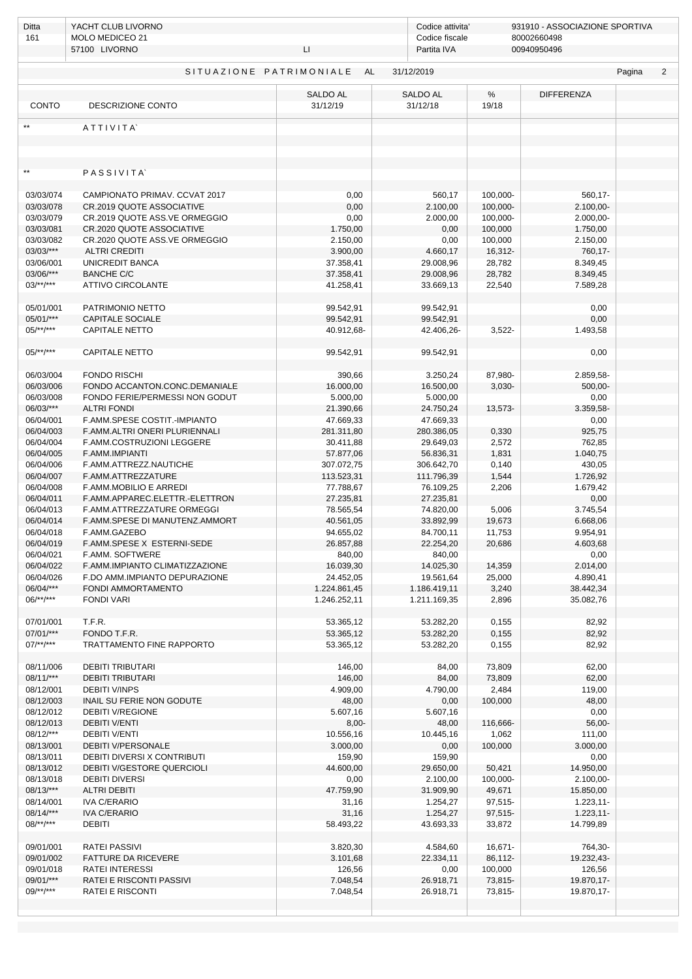| Ditta                                                   | YACHT CLUB LIVORNO                                         |                          | Codice attivita'              | 931910 - ASSOCIAZIONE SPORTIVA<br>80002660498 |                           |  |  |  |
|---------------------------------------------------------|------------------------------------------------------------|--------------------------|-------------------------------|-----------------------------------------------|---------------------------|--|--|--|
| 161                                                     | MOLO MEDICEO 21<br>57100 LIVORNO                           | LI.                      | Codice fiscale<br>Partita IVA |                                               | 00940950496               |  |  |  |
|                                                         |                                                            |                          |                               |                                               |                           |  |  |  |
| SITUAZIONE PATRIMONIALE AL<br>31/12/2019<br>Pagina<br>2 |                                                            |                          |                               |                                               |                           |  |  |  |
| CONTO                                                   | DESCRIZIONE CONTO                                          | SALDO AL<br>31/12/19     | SALDO AL<br>31/12/18          | %<br>19/18                                    | <b>DIFFERENZA</b>         |  |  |  |
|                                                         |                                                            |                          |                               |                                               |                           |  |  |  |
|                                                         | ATTIVITA                                                   |                          |                               |                                               |                           |  |  |  |
|                                                         |                                                            |                          |                               |                                               |                           |  |  |  |
|                                                         |                                                            |                          |                               |                                               |                           |  |  |  |
| $\star\star$                                            | PASSIVITA'                                                 |                          |                               |                                               |                           |  |  |  |
|                                                         |                                                            |                          |                               |                                               |                           |  |  |  |
| 03/03/074                                               | CAMPIONATO PRIMAV. CCVAT 2017                              | 0,00                     | 560,17                        | 100,000-                                      | 560,17-                   |  |  |  |
| 03/03/078                                               | CR.2019 QUOTE ASSOCIATIVE                                  | 0,00                     | 2.100,00                      | 100,000-                                      | $2.100,00 -$              |  |  |  |
| 03/03/079<br>03/03/081                                  | CR.2019 QUOTE ASS.VE ORMEGGIO<br>CR.2020 QUOTE ASSOCIATIVE | 0,00<br>1.750,00         | 2.000,00<br>0,00              | 100,000-<br>100,000                           | $2.000,00 -$<br>1.750,00  |  |  |  |
| 03/03/082                                               | CR.2020 QUOTE ASS.VE ORMEGGIO                              | 2.150,00                 | 0,00                          | 100,000                                       | 2.150,00                  |  |  |  |
| 03/03/***                                               | <b>ALTRI CREDITI</b>                                       | 3.900,00                 | 4.660,17                      | 16,312-                                       | 760,17-                   |  |  |  |
| 03/06/001                                               | UNICREDIT BANCA                                            | 37.358,41                | 29.008,96                     | 28,782                                        | 8.349,45                  |  |  |  |
| 03/06/***                                               | <b>BANCHE C/C</b>                                          | 37.358,41                | 29.008,96                     | 28,782                                        | 8.349,45                  |  |  |  |
| $03/**/***$                                             | <b>ATTIVO CIRCOLANTE</b>                                   | 41.258,41                | 33.669,13                     | 22,540                                        | 7.589,28                  |  |  |  |
| 05/01/001                                               | PATRIMONIO NETTO                                           | 99.542,91                | 99.542,91                     |                                               | 0,00                      |  |  |  |
| $05/01$ /***                                            | <b>CAPITALE SOCIALE</b>                                    | 99.542,91                | 99.542,91                     |                                               | 0,00                      |  |  |  |
| $05/**/***$                                             | <b>CAPITALE NETTO</b>                                      | 40.912,68-               | 42.406,26-                    | $3,522-$                                      | 1.493,58                  |  |  |  |
|                                                         |                                                            |                          |                               |                                               |                           |  |  |  |
| $05/**/***$                                             | <b>CAPITALE NETTO</b>                                      | 99.542,91                | 99.542,91                     |                                               | 0,00                      |  |  |  |
|                                                         |                                                            |                          |                               |                                               |                           |  |  |  |
| 06/03/004<br>06/03/006                                  | <b>FONDO RISCHI</b><br>FONDO ACCANTON.CONC.DEMANIALE       | 390,66                   | 3.250,24                      | 87,980-                                       | 2.859,58-                 |  |  |  |
| 06/03/008                                               | FONDO FERIE/PERMESSI NON GODUT                             | 16.000,00<br>5.000,00    | 16.500,00<br>5.000,00         | $3,030-$                                      | 500,00-<br>0,00           |  |  |  |
| 06/03/***                                               | <b>ALTRI FONDI</b>                                         | 21.390,66                | 24.750,24                     | 13,573-                                       | 3.359,58-                 |  |  |  |
| 06/04/001                                               | F.AMM.SPESE COSTIT.-IMPIANTO                               | 47.669,33                | 47.669,33                     |                                               | 0,00                      |  |  |  |
| 06/04/003                                               | F.AMM.ALTRI ONERI PLURIENNALI                              | 281.311,80               | 280.386,05                    | 0,330                                         | 925,75                    |  |  |  |
| 06/04/004                                               | F.AMM.COSTRUZIONI LEGGERE                                  | 30.411,88                | 29.649,03                     | 2,572                                         | 762,85                    |  |  |  |
| 06/04/005                                               | F.AMM.IMPIANTI                                             | 57.877,06                | 56.836,31                     | 1,831                                         | 1.040,75                  |  |  |  |
| 06/04/006<br>06/04/007                                  | F.AMM.ATTREZZ.NAUTICHE<br>F.AMM.ATTREZZATURE               | 307.072,75<br>113.523,31 | 306.642,70<br>111.796,39      | 0,140<br>1,544                                | 430,05<br>1.726,92        |  |  |  |
| 06/04/008                                               | F.AMM.MOBILIO E ARREDI                                     | 77.788,67                | 76.109,25                     | 2,206                                         | 1.679,42                  |  |  |  |
| 06/04/011                                               | F.AMM.APPAREC.ELETTR.-ELETTRON                             | 27.235,81                | 27.235,81                     |                                               | 0,00                      |  |  |  |
| 06/04/013                                               | F.AMM.ATTREZZATURE ORMEGGI                                 | 78.565,54                | 74.820,00                     | 5,006                                         | 3.745,54                  |  |  |  |
| 06/04/014                                               | F.AMM.SPESE DI MANUTENZ.AMMORT                             | 40.561,05                | 33.892,99                     | 19,673                                        | 6.668,06                  |  |  |  |
| 06/04/018                                               | F.AMM.GAZEBO                                               | 94.655.02                | 84.700,11                     | 11,753                                        | 9.954,91                  |  |  |  |
| 06/04/019                                               | F.AMM.SPESE X ESTERNI-SEDE                                 | 26.857,88                | 22.254,20                     | 20,686                                        | 4.603,68                  |  |  |  |
| 06/04/021<br>06/04/022                                  | F.AMM. SOFTWERE<br>F.AMM.IMPIANTO CLIMATIZZAZIONE          | 840,00<br>16.039,30      | 840,00<br>14.025,30           | 14,359                                        | 0,00<br>2.014,00          |  |  |  |
| 06/04/026                                               | F.DO AMM.IMPIANTO DEPURAZIONE                              | 24.452,05                | 19.561,64                     | 25,000                                        | 4.890,41                  |  |  |  |
| 06/04/***                                               | FONDI AMMORTAMENTO                                         | 1.224.861,45             | 1.186.419,11                  | 3,240                                         | 38.442,34                 |  |  |  |
| $06$ /**/***                                            | <b>FONDI VARI</b>                                          | 1.246.252,11             | 1.211.169,35                  | 2,896                                         | 35.082,76                 |  |  |  |
|                                                         |                                                            |                          |                               |                                               |                           |  |  |  |
| 07/01/001<br>07/01/***                                  | T.F.R.                                                     | 53.365,12                | 53.282,20                     | 0,155                                         | 82,92                     |  |  |  |
| $07$ /**/***                                            | FONDO T.F.R.<br>TRATTAMENTO FINE RAPPORTO                  | 53.365,12<br>53.365,12   | 53.282,20<br>53.282,20        | 0,155<br>0,155                                | 82,92<br>82,92            |  |  |  |
|                                                         |                                                            |                          |                               |                                               |                           |  |  |  |
| 08/11/006                                               | <b>DEBITI TRIBUTARI</b>                                    | 146,00                   | 84,00                         | 73,809                                        | 62,00                     |  |  |  |
| 08/11/***                                               | <b>DEBITI TRIBUTARI</b>                                    | 146,00                   | 84,00                         | 73,809                                        | 62,00                     |  |  |  |
| 08/12/001                                               | <b>DEBITI V/INPS</b>                                       | 4.909,00                 | 4.790,00                      | 2,484                                         | 119,00                    |  |  |  |
| 08/12/003<br>08/12/012                                  | INAIL SU FERIE NON GODUTE                                  | 48,00                    | 0,00                          | 100,000                                       | 48,00                     |  |  |  |
| 08/12/013                                               | <b>DEBITI V/REGIONE</b><br><b>DEBITI V/ENTI</b>            | 5.607,16<br>$8,00-$      | 5.607,16<br>48,00             | 116,666-                                      | 0,00<br>56,00-            |  |  |  |
| 08/12/***                                               | <b>DEBITI V/ENTI</b>                                       | 10.556,16                | 10.445,16                     | 1,062                                         | 111,00                    |  |  |  |
| 08/13/001                                               | <b>DEBITI V/PERSONALE</b>                                  | 3.000,00                 | 0,00                          | 100,000                                       | 3.000,00                  |  |  |  |
| 08/13/011                                               | DEBITI DIVERSI X CONTRIBUTI                                | 159,90                   | 159,90                        |                                               | 0,00                      |  |  |  |
| 08/13/012                                               | DEBITI V/GESTORE QUERCIOLI                                 | 44.600,00                | 29.650,00                     | 50,421                                        | 14.950,00                 |  |  |  |
| 08/13/018                                               | <b>DEBITI DIVERSI</b>                                      | 0,00                     | 2.100,00                      | 100,000-                                      | $2.100,00 -$              |  |  |  |
| $08/13$ /***<br>08/14/001                               | <b>ALTRI DEBITI</b><br><b>IVA C/ERARIO</b>                 | 47.759,90<br>31,16       | 31.909,90<br>1.254,27         | 49,671<br>97,515-                             | 15.850,00<br>$1.223,11$ - |  |  |  |
| 08/14/***                                               | <b>IVA C/ERARIO</b>                                        | 31,16                    | 1.254,27                      | 97,515-                                       | 1.223,11-                 |  |  |  |
| $08$ /**/***                                            | <b>DEBITI</b>                                              | 58.493,22                | 43.693,33                     | 33,872                                        | 14.799,89                 |  |  |  |
|                                                         |                                                            |                          |                               |                                               |                           |  |  |  |
| 09/01/001                                               | RATEI PASSIVI                                              | 3.820,30                 | 4.584,60                      | 16,671-                                       | 764,30-                   |  |  |  |
| 09/01/002                                               | FATTURE DA RICEVERE                                        | 3.101,68                 | 22.334,11                     | 86,112-                                       | 19.232,43-                |  |  |  |
| 09/01/018<br>09/01/***                                  | <b>RATEI INTERESSI</b><br>RATEI E RISCONTI PASSIVI         | 126,56<br>7.048,54       | 0,00<br>26.918,71             | 100,000<br>73,815-                            | 126,56<br>19.870,17-      |  |  |  |
| $09$ /**/***                                            | RATEI E RISCONTI                                           | 7.048,54                 | 26.918,71                     | 73,815-                                       | 19.870,17-                |  |  |  |
|                                                         |                                                            |                          |                               |                                               |                           |  |  |  |
|                                                         |                                                            |                          |                               |                                               |                           |  |  |  |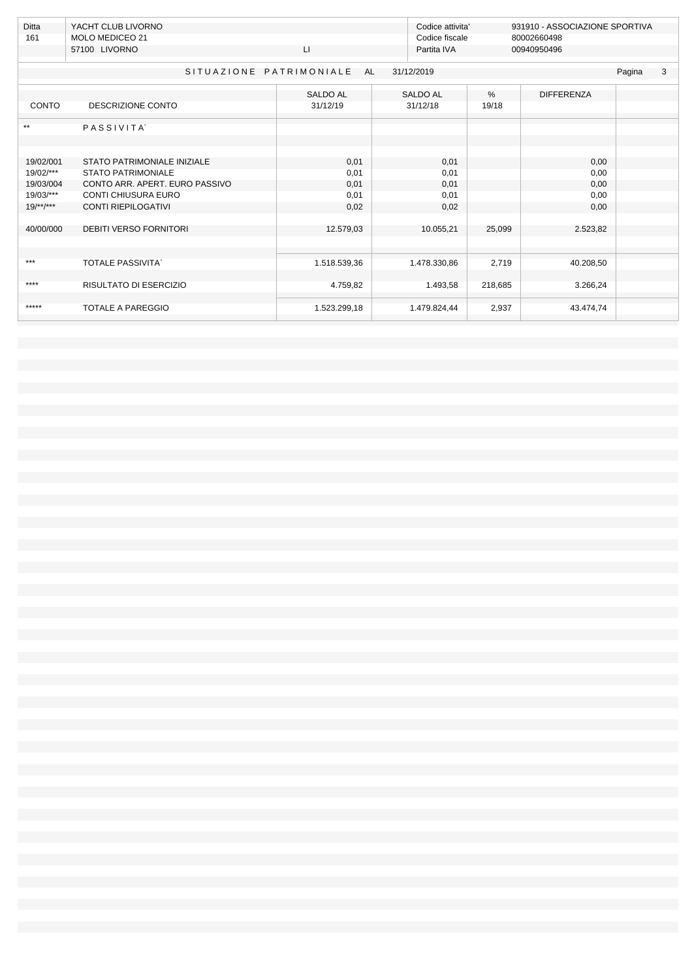| Ditta<br>161 | YACHT CLUB LIVORNO<br><b>MOLO MEDICEO 21</b> |                 | Codice attivita'<br>Codice fiscale |         | 931910 - ASSOCIAZIONE SPORTIVA<br>80002660498 |        |   |
|--------------|----------------------------------------------|-----------------|------------------------------------|---------|-----------------------------------------------|--------|---|
|              | 57100 LIVORNO                                | LI.             | Partita IVA                        |         | 00940950496                                   |        |   |
|              | SITUAZIONE PATRIMONIALE                      | <b>AL</b>       | 31/12/2019                         |         |                                               | Pagina | 3 |
|              |                                              | <b>SALDO AL</b> | <b>SALDO AL</b>                    | $\%$    | <b>DIFFERENZA</b>                             |        |   |
| CONTO        | DESCRIZIONE CONTO                            | 31/12/19        | 31/12/18                           | 19/18   |                                               |        |   |
| $\star\star$ | <b>PASSIVITA</b>                             |                 |                                    |         |                                               |        |   |
|              |                                              |                 |                                    |         |                                               |        |   |
| 19/02/001    | STATO PATRIMONIALE INIZIALE                  | 0,01            | 0,01                               |         | 0,00                                          |        |   |
| 19/02/***    | <b>STATO PATRIMONIALE</b>                    | 0,01            | 0,01                               |         | 0,00                                          |        |   |
| 19/03/004    | CONTO ARR. APERT. EURO PASSIVO               | 0,01            | 0,01                               |         | 0,00                                          |        |   |
| 19/03/***    | <b>CONTI CHIUSURA EURO</b>                   | 0,01            | 0,01                               |         | 0,00                                          |        |   |
| $19$ /**/*** | <b>CONTI RIEPILOGATIVI</b>                   | 0,02            | 0,02                               |         | 0,00                                          |        |   |
| 40/00/000    | <b>DEBITI VERSO FORNITORI</b>                | 12.579,03       | 10.055,21                          | 25,099  | 2.523,82                                      |        |   |
|              |                                              |                 |                                    |         |                                               |        |   |
| $***$        | <b>TOTALE PASSIVITA</b>                      | 1.518.539,36    | 1.478.330,86                       | 2,719   | 40.208,50                                     |        |   |
| ****         | RISULTATO DI ESERCIZIO                       | 4.759,82        | 1.493,58                           | 218,685 | 3.266,24                                      |        |   |
| *****        | <b>TOTALE A PAREGGIO</b>                     | 1.523.299,18    | 1.479.824,44                       | 2,937   | 43.474,74                                     |        |   |
|              |                                              |                 |                                    |         |                                               |        |   |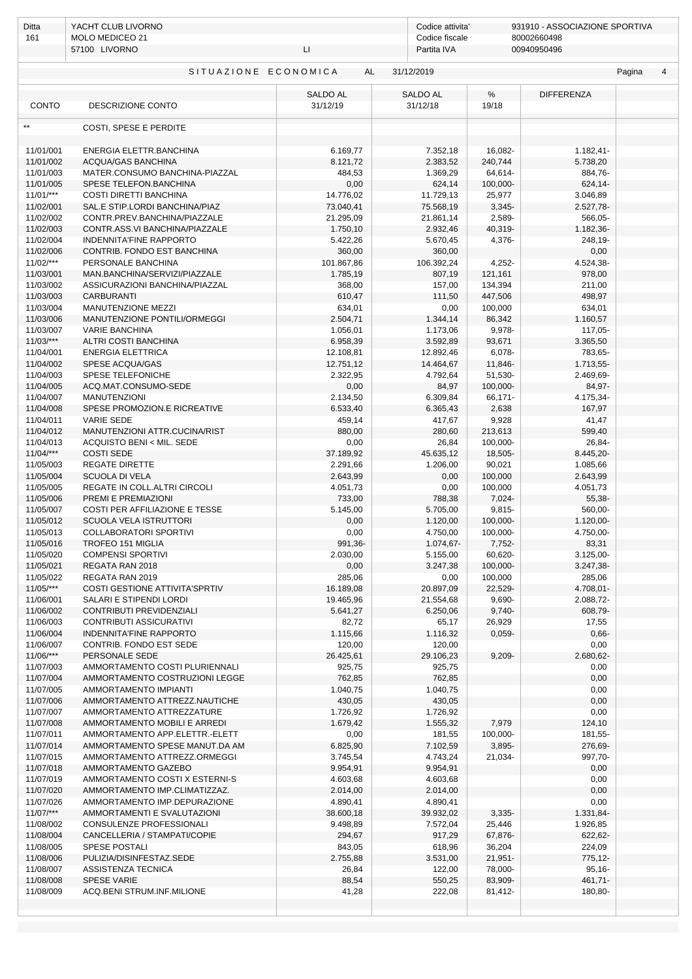| Ditta                                                   | YACHT CLUB LIVORNO                                             |                             |                        | 931910 - ASSOCIAZIONE SPORTIVA<br>Codice attivita' |                      |  |  |
|---------------------------------------------------------|----------------------------------------------------------------|-----------------------------|------------------------|----------------------------------------------------|----------------------|--|--|
| 161                                                     | MOLO MEDICEO 21<br>57100 LIVORNO<br>LI.                        |                             | Codice fiscale         | 80002660498<br>Partita IVA<br>00940950496          |                      |  |  |
|                                                         |                                                                |                             |                        |                                                    |                      |  |  |
| SITUAZIONE ECONOMICA<br>AL<br>31/12/2019<br>Pagina<br>4 |                                                                |                             |                        |                                                    |                      |  |  |
| <b>CONTO</b>                                            | DESCRIZIONE CONTO                                              | <b>SALDO AL</b><br>31/12/19 | SALDO AL<br>31/12/18   | $\%$<br>19/18                                      | <b>DIFFERENZA</b>    |  |  |
| $\star\star$                                            |                                                                |                             |                        |                                                    |                      |  |  |
|                                                         | COSTI, SPESE E PERDITE                                         |                             |                        |                                                    |                      |  |  |
| 11/01/001                                               | ENERGIA ELETTR.BANCHINA                                        | 6.169,77                    | 7.352,18               | 16,082-                                            | 1.182,41-            |  |  |
| 11/01/002                                               | <b>ACOUA/GAS BANCHINA</b>                                      | 8.121,72                    | 2.383,52               | 240,744                                            | 5.738,20             |  |  |
| 11/01/003                                               | MATER.CONSUMO BANCHINA-PIAZZAL                                 | 484,53                      | 1.369,29               | 64,614-                                            | 884,76-              |  |  |
| 11/01/005                                               | SPESE TELEFON.BANCHINA                                         | 0,00                        | 624,14                 | 100,000-                                           | 624,14-              |  |  |
| $11/01$ /***                                            | COSTI DIRETTI BANCHINA                                         | 14.776,02                   | 11.729,13              | 25,977                                             | 3.046,89             |  |  |
| 11/02/001                                               | SAL.E STIP.LORDI BANCHINA/PIAZ                                 | 73.040,41                   | 75.568,19              | $3,345-$                                           | 2.527,78-            |  |  |
| 11/02/002<br>11/02/003                                  | CONTR.PREV.BANCHINA/PIAZZALE<br>CONTR.ASS.VI BANCHINA/PIAZZALE | 21.295,09<br>1.750,10       | 21.861,14<br>2.932,46  | 2,589-<br>40,319-                                  | 566,05-<br>1.182,36- |  |  |
| 11/02/004                                               | <b>INDENNITA'FINE RAPPORTO</b>                                 | 5.422,26                    | 5.670,45               | 4,376-                                             | 248,19-              |  |  |
| 11/02/006                                               | CONTRIB. FONDO EST BANCHINA                                    | 360,00                      | 360,00                 |                                                    | 0,00                 |  |  |
| $11/02$ /***                                            | PERSONALE BANCHINA                                             | 101.867,86                  | 106.392,24             | 4,252-                                             | 4.524,38-            |  |  |
| 11/03/001                                               | MAN.BANCHINA/SERVIZI/PIAZZALE                                  | 1.785,19                    | 807,19                 | 121,161                                            | 978,00               |  |  |
| 11/03/002                                               | ASSICURAZIONI BANCHINA/PIAZZAL                                 | 368,00                      | 157,00                 | 134,394                                            | 211,00               |  |  |
| 11/03/003                                               | <b>CARBURANTI</b>                                              | 610,47                      | 111,50                 | 447,506                                            | 498,97               |  |  |
| 11/03/004                                               | MANUTENZIONE MEZZI                                             | 634,01                      | 0,00                   | 100,000                                            | 634,01               |  |  |
| 11/03/006                                               | MANUTENZIONE PONTILI/ORMEGGI                                   | 2.504,71                    | 1.344,14               | 86,342                                             | 1.160,57             |  |  |
| 11/03/007                                               | <b>VARIE BANCHINA</b>                                          | 1.056,01                    | 1.173,06               | 9,978-                                             | 117,05-              |  |  |
| $11/03$ /***                                            | ALTRI COSTI BANCHINA<br><b>ENERGIA ELETTRICA</b>               | 6.958,39                    | 3.592,89               | 93,671                                             | 3.365,50             |  |  |
| 11/04/001<br>11/04/002                                  | SPESE ACQUA/GAS                                                | 12.108,81<br>12.751,12      | 12.892,46<br>14.464,67 | 6,078-<br>11,846-                                  | 783,65-<br>1.713,55- |  |  |
| 11/04/003                                               | SPESE TELEFONICHE                                              | 2.322,95                    | 4.792,64               | 51,530-                                            | 2.469,69-            |  |  |
| 11/04/005                                               | ACQ.MAT.CONSUMO-SEDE                                           | 0,00                        | 84,97                  | 100,000-                                           | 84,97-               |  |  |
| 11/04/007                                               | <b>MANUTENZIONI</b>                                            | 2.134,50                    | 6.309,84               | 66,171-                                            | 4.175,34-            |  |  |
| 11/04/008                                               | SPESE PROMOZION.E RICREATIVE                                   | 6.533,40                    | 6.365,43               | 2,638                                              | 167,97               |  |  |
| 11/04/011                                               | <b>VARIE SEDE</b>                                              | 459,14                      | 417,67                 | 9,928                                              | 41,47                |  |  |
| 11/04/012                                               | MANUTENZIONI ATTR.CUCINA/RIST                                  | 880,00                      | 280,60                 | 213,613                                            | 599,40               |  |  |
| 11/04/013                                               | ACQUISTO BENI < MIL. SEDE                                      | 0,00                        | 26,84                  | 100,000-                                           | 26,84-               |  |  |
| $11/04$ /***                                            | <b>COSTI SEDE</b>                                              | 37.189,92                   | 45.635,12              | 18,505-                                            | 8.445,20-            |  |  |
| 11/05/003                                               | <b>REGATE DIRETTE</b>                                          | 2.291,66                    | 1.206,00               | 90,021                                             | 1.085,66             |  |  |
| 11/05/004<br>11/05/005                                  | <b>SCUOLA DI VELA</b><br>REGATE IN COLL.ALTRI CIRCOLI          | 2.643,99<br>4.051,73        | 0,00<br>0,00           | 100,000<br>100,000                                 | 2.643,99<br>4.051,73 |  |  |
| 11/05/006                                               | PREMI E PREMIAZIONI                                            | 733,00                      | 788,38                 | 7,024-                                             | 55,38-               |  |  |
| 11/05/007                                               | COSTI PER AFFILIAZIONE E TESSE                                 | 5.145,00                    | 5.705,00               | 9,815-                                             | 560,00-              |  |  |
| 11/05/012                                               | SCUOLA VELA ISTRUTTORI                                         | 0,00                        | 1.120,00               | 100,000-                                           | 1.120,00-            |  |  |
| 11/05/013                                               | COLLABORATORI SPORTIVI                                         | 0,00                        | 4.750,00               | 100,000-                                           | 4.750,00-            |  |  |
| 11/05/016                                               | TROFEO 151 MIGLIA                                              | 991,36                      | 1.074,67-              | 7,752-                                             | 83,31                |  |  |
| 11/05/020                                               | <b>COMPENSI SPORTIVI</b>                                       | 2.030,00                    | 5.155,00               | 60,620-                                            | $3.125,00 -$         |  |  |
| 11/05/021                                               | REGATA RAN 2018                                                | 0,00                        | 3.247,38               | 100,000-                                           | 3.247,38-            |  |  |
| 11/05/022                                               | REGATA RAN 2019                                                | 285,06                      | 0,00                   | 100,000                                            | 285,06               |  |  |
| $11/05$ /***                                            | <b>COSTI GESTIONE ATTIVITA'SPRTIV</b>                          | 16.189,08                   | 20.897,09              | 22,529-                                            | 4.708,01-            |  |  |
| 11/06/001<br>11/06/002                                  | SALARI E STIPENDI LORDI<br>CONTRIBUTI PREVIDENZIALI            | 19.465,96<br>5.641,27       | 21.554,68<br>6.250,06  | 9,690-<br>$9,740-$                                 | 2.088,72-<br>608,79- |  |  |
| 11/06/003                                               | CONTRIBUTI ASSICURATIVI                                        | 82,72                       | 65,17                  | 26,929                                             | 17,55                |  |  |
| 11/06/004                                               | INDENNITA'FINE RAPPORTO                                        | 1.115,66                    | 1.116,32               | $0,059-$                                           | $0,66-$              |  |  |
| 11/06/007                                               | CONTRIB. FONDO EST SEDE                                        | 120,00                      | 120,00                 |                                                    | 0,00                 |  |  |
| $11/06$ /***                                            | PERSONALE SEDE                                                 | 26.425,61                   | 29.106,23              | 9,209-                                             | 2.680,62-            |  |  |
| 11/07/003                                               | AMMORTAMENTO COSTI PLURIENNALI                                 | 925,75                      | 925,75                 |                                                    | 0,00                 |  |  |
| 11/07/004                                               | AMMORTAMENTO COSTRUZIONI LEGGE                                 | 762,85                      | 762,85                 |                                                    | 0,00                 |  |  |
| 11/07/005                                               | AMMORTAMENTO IMPIANTI                                          | 1.040,75                    | 1.040,75               |                                                    | 0,00                 |  |  |
| 11/07/006                                               | AMMORTAMENTO ATTREZZ.NAUTICHE                                  | 430,05                      | 430,05                 |                                                    | 0,00                 |  |  |
| 11/07/007                                               | AMMORTAMENTO ATTREZZATURE                                      | 1.726,92                    | 1.726,92               |                                                    | 0,00                 |  |  |
| 11/07/008<br>11/07/011                                  | AMMORTAMENTO MOBILI E ARREDI<br>AMMORTAMENTO APP.ELETTR.-ELETT | 1.679,42<br>0,00            | 1.555,32<br>181,55     | 7,979<br>100,000-                                  | 124,10<br>181,55-    |  |  |
| 11/07/014                                               | AMMORTAMENTO SPESE MANUT.DA AM                                 | 6.825,90                    | 7.102,59               | 3,895-                                             | 276,69-              |  |  |
| 11/07/015                                               | AMMORTAMENTO ATTREZZ.ORMEGGI                                   | 3.745,54                    | 4.743,24               | 21,034-                                            | 997,70-              |  |  |
| 11/07/018                                               | AMMORTAMENTO GAZEBO                                            | 9.954,91                    | 9.954,91               |                                                    | 0,00                 |  |  |
| 11/07/019                                               | AMMORTAMENTO COSTI X ESTERNI-S                                 | 4.603,68                    | 4.603,68               |                                                    | 0,00                 |  |  |
| 11/07/020                                               | AMMORTAMENTO IMP.CLIMATIZZAZ.                                  | 2.014,00                    | 2.014,00               |                                                    | 0,00                 |  |  |
| 11/07/026                                               | AMMORTAMENTO IMP.DEPURAZIONE                                   | 4.890,41                    | 4.890,41               |                                                    | 0,00                 |  |  |
| $11/07$ /***                                            | AMMORTAMENTI E SVALUTAZIONI                                    | 38.600,18                   | 39.932,02              | $3,335-$                                           | 1.331,84-            |  |  |
| 11/08/002                                               | CONSULENZE PROFESSIONALI                                       | 9.498,89                    | 7.572,04               | 25,446                                             | 1.926,85             |  |  |
| 11/08/004                                               | CANCELLERIA / STAMPATI/COPIE                                   | 294,67                      | 917,29                 | 67,876-                                            | 622,62-              |  |  |
| 11/08/005<br>11/08/006                                  | SPESE POSTALI<br>PULIZIA/DISINFESTAZ.SEDE                      | 843,05<br>2.755,88          | 618,96<br>3.531,00     | 36,204<br>21,951-                                  | 224,09<br>775,12-    |  |  |
| 11/08/007                                               | ASSISTENZA TECNICA                                             | 26,84                       | 122,00                 | 78,000-                                            | $95,16-$             |  |  |
| 11/08/008                                               | <b>SPESE VARIE</b>                                             | 88,54                       | 550,25                 | 83,909-                                            | 461,71-              |  |  |
| 11/08/009                                               | ACQ.BENI STRUM.INF.MILIONE                                     | 41,28                       | 222,08                 | 81,412-                                            | 180,80-              |  |  |
|                                                         |                                                                |                             |                        |                                                    |                      |  |  |
|                                                         |                                                                |                             |                        |                                                    |                      |  |  |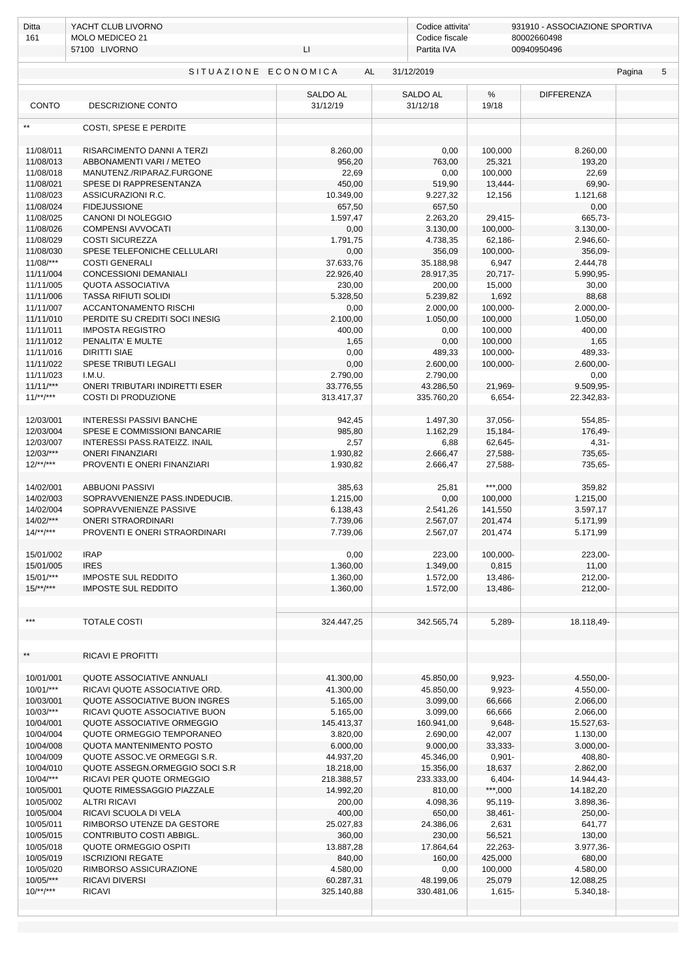| Ditta                                              | YACHT CLUB LIVORNO                                             |                             |                             | 931910 - ASSOCIAZIONE SPORTIVA<br>Codice attivita' |                          |  |  |
|----------------------------------------------------|----------------------------------------------------------------|-----------------------------|-----------------------------|----------------------------------------------------|--------------------------|--|--|
| 161                                                | MOLO MEDICEO 21                                                |                             |                             | Codice fiscale<br>80002660498<br>00940950496       |                          |  |  |
|                                                    | 57100 LIVORNO                                                  | LI.                         | Partita IVA                 |                                                    |                          |  |  |
| SITUAZIONE ECONOMICA<br>AL<br>31/12/2019<br>Pagina |                                                                |                             |                             |                                                    |                          |  |  |
| CONTO                                              | DESCRIZIONE CONTO                                              | <b>SALDO AL</b><br>31/12/19 | <b>SALDO AL</b><br>31/12/18 | $\%$<br>19/18                                      | <b>DIFFERENZA</b>        |  |  |
| $\star\star$                                       | COSTI, SPESE E PERDITE                                         |                             |                             |                                                    |                          |  |  |
| 11/08/011                                          | RISARCIMENTO DANNI A TERZI                                     | 8.260,00                    | 0,00                        | 100,000                                            | 8.260,00                 |  |  |
| 11/08/013                                          | ABBONAMENTI VARI / METEO                                       | 956,20                      | 763,00                      | 25,321                                             | 193,20                   |  |  |
| 11/08/018                                          | MANUTENZ./RIPARAZ.FURGONE                                      | 22,69                       | 0,00                        | 100,000                                            | 22,69                    |  |  |
| 11/08/021                                          | SPESE DI RAPPRESENTANZA                                        | 450,00                      | 519,90                      | 13,444-                                            | 69,90-                   |  |  |
| 11/08/023                                          | ASSICURAZIONI R.C.                                             | 10.349,00                   | 9.227,32                    | 12,156                                             | 1.121,68                 |  |  |
| 11/08/024                                          | <b>FIDEJUSSIONE</b>                                            | 657,50                      | 657,50                      |                                                    | 0,00                     |  |  |
| 11/08/025<br>11/08/026                             | CANONI DI NOLEGGIO<br><b>COMPENSI AVVOCATI</b>                 | 1.597,47<br>0,00            | 2.263,20<br>3.130,00        | 29,415-<br>100,000-                                | 665,73-<br>$3.130,00 -$  |  |  |
| 11/08/029                                          | <b>COSTI SICUREZZA</b>                                         | 1.791,75                    | 4.738,35                    | 62,186-                                            | 2.946,60-                |  |  |
| 11/08/030                                          | SPESE TELEFONICHE CELLULARI                                    | 0,00                        | 356,09                      | 100,000-                                           | 356,09-                  |  |  |
| $11/08$ /***                                       | <b>COSTI GENERALI</b>                                          | 37.633,76                   | 35.188,98                   | 6,947                                              | 2.444,78                 |  |  |
| 11/11/004                                          | <b>CONCESSIONI DEMANIALI</b>                                   | 22.926,40                   | 28.917,35                   | 20,717-                                            | 5.990,95-                |  |  |
| 11/11/005                                          | <b>QUOTA ASSOCIATIVA</b>                                       | 230,00                      | 200,00                      | 15,000                                             | 30,00                    |  |  |
| 11/11/006                                          | <b>TASSA RIFIUTI SOLIDI</b>                                    | 5.328,50                    | 5.239,82                    | 1,692                                              | 88,68                    |  |  |
| 11/11/007<br>11/11/010                             | <b>ACCANTONAMENTO RISCHI</b><br>PERDITE SU CREDITI SOCI INESIG | 0,00<br>2.100,00            | 2.000,00<br>1.050,00        | 100,000-<br>100,000                                | $2.000,00 -$<br>1.050,00 |  |  |
| 11/11/011                                          | <b>IMPOSTA REGISTRO</b>                                        | 400,00                      | 0,00                        | 100,000                                            | 400,00                   |  |  |
| 11/11/012                                          | PENALITA' E MULTE                                              | 1,65                        | 0,00                        | 100,000                                            | 1,65                     |  |  |
| 11/11/016                                          | DIRITTI SIAE                                                   | 0,00                        | 489,33                      | 100,000-                                           | 489,33-                  |  |  |
| 11/11/022                                          | SPESE TRIBUTI LEGALI                                           | 0,00                        | 2.600,00                    | 100,000-                                           | $2.600,00 -$             |  |  |
| 11/11/023                                          | I.M.U.                                                         | 2.790,00                    | 2.790,00                    |                                                    | 0,00                     |  |  |
| $11/11$ /***                                       | ONERI TRIBUTARI INDIRETTI ESER                                 | 33.776,55                   | 43.286,50                   | 21,969-                                            | 9.509,95-                |  |  |
| $11^{***}$                                         | <b>COSTI DI PRODUZIONE</b>                                     | 313.417,37                  | 335.760,20                  | 6,654-                                             | 22.342,83-               |  |  |
| 12/03/001                                          | <b>INTERESSI PASSIVI BANCHE</b>                                | 942,45                      | 1.497,30                    | 37,056-                                            | 554,85-                  |  |  |
| 12/03/004                                          | SPESE E COMMISSIONI BANCARIE                                   | 985,80                      | 1.162,29                    | 15,184-                                            | 176,49-                  |  |  |
| 12/03/007                                          | INTERESSI PASS.RATEIZZ. INAIL                                  | 2,57                        | 6,88                        | 62,645-                                            | $4,31-$                  |  |  |
| 12/03/***                                          | <b>ONERI FINANZIARI</b>                                        | 1.930,82                    | 2.666,47                    | 27,588-                                            | 735,65-                  |  |  |
| $12$ /**/***                                       | PROVENTI E ONERI FINANZIARI                                    | 1.930,82                    | 2.666,47                    | 27,588-                                            | 735,65-                  |  |  |
|                                                    |                                                                |                             |                             |                                                    |                          |  |  |
| 14/02/001                                          | <b>ABBUONI PASSIVI</b>                                         | 385,63                      | 25,81                       | $***,000$                                          | 359,82                   |  |  |
| 14/02/003<br>14/02/004                             | SOPRAVVENIENZE PASS.INDEDUCIB.<br>SOPRAVVENIENZE PASSIVE       | 1.215,00<br>6.138,43        | 0,00<br>2.541,26            | 100,000<br>141,550                                 | 1.215,00<br>3.597,17     |  |  |
| $14/02$ /***                                       | <b>ONERI STRAORDINARI</b>                                      | 7.739,06                    | 2.567,07                    | 201,474                                            | 5.171,99                 |  |  |
| $14$ /**/***                                       | PROVENTI E ONERI STRAORDINARI                                  | 7.739,06                    | 2.567,07                    | 201,474                                            | 5.171,99                 |  |  |
|                                                    |                                                                |                             |                             |                                                    |                          |  |  |
| 15/01/002                                          | <b>IRAP</b>                                                    | 0,00                        | 223,00                      | 100,000-                                           | 223,00-                  |  |  |
| 15/01/005                                          | <b>IRES</b>                                                    | 1.360,00                    | 1.349,00                    | 0,815                                              | 11,00                    |  |  |
| $15/01$ /***<br>$15/**/***$                        | <b>IMPOSTE SUL REDDITO</b><br><b>IMPOSTE SUL REDDITO</b>       | 1.360,00                    | 1.572,00                    | 13,486-                                            | 212,00-                  |  |  |
|                                                    |                                                                | 1.360,00                    | 1.572,00                    | 13,486-                                            | 212,00-                  |  |  |
|                                                    |                                                                |                             |                             |                                                    |                          |  |  |
| $***$                                              | <b>TOTALE COSTI</b>                                            | 324.447,25                  | 342.565,74                  | 5,289-                                             | 18.118,49-               |  |  |
|                                                    |                                                                |                             |                             |                                                    |                          |  |  |
|                                                    |                                                                |                             |                             |                                                    |                          |  |  |
|                                                    | RICAVI E PROFITTI                                              |                             |                             |                                                    |                          |  |  |
| 10/01/001                                          | QUOTE ASSOCIATIVE ANNUALI                                      | 41.300,00                   | 45.850,00                   | 9,923-                                             | 4.550,00-                |  |  |
| $10/01$ /***                                       | RICAVI QUOTE ASSOCIATIVE ORD.                                  | 41.300,00                   | 45.850,00                   | 9,923-                                             | 4.550,00-                |  |  |
| 10/03/001                                          | <b>QUOTE ASSOCIATIVE BUON INGRES</b>                           | 5.165,00                    | 3.099,00                    | 66,666                                             | 2.066,00                 |  |  |
| $10/03$ /***                                       | RICAVI QUOTE ASSOCIATIVE BUON                                  | 5.165,00                    | 3.099,00                    | 66,666                                             | 2.066,00                 |  |  |
| 10/04/001                                          | QUOTE ASSOCIATIVE ORMEGGIO                                     | 145.413,37                  | 160.941,00                  | 9,648-                                             | 15.527,63-               |  |  |
| 10/04/004<br>10/04/008                             | QUOTE ORMEGGIO TEMPORANEO                                      | 3.820,00                    | 2.690,00                    | 42,007                                             | 1.130,00                 |  |  |
| 10/04/009                                          | QUOTA MANTENIMENTO POSTO<br>QUOTE ASSOC.VE ORMEGGI S.R.        | 6.000,00<br>44.937,20       | 9.000,00<br>45.346,00       | 33,333-<br>$0,901 -$                               | $3.000,00 -$<br>408,80-  |  |  |
| 10/04/010                                          | QUOTE ASSEGN.ORMEGGIO SOCI S.R                                 | 18.218,00                   | 15.356,00                   | 18,637                                             | 2.862,00                 |  |  |
| $10/04$ /***                                       | RICAVI PER QUOTE ORMEGGIO                                      | 218.388,57                  | 233.333,00                  | 6,404-                                             | 14.944,43-               |  |  |
| 10/05/001                                          | QUOTE RIMESSAGGIO PIAZZALE                                     | 14.992,20                   | 810,00                      | $***,000$                                          | 14.182,20                |  |  |
| 10/05/002                                          | <b>ALTRI RICAVI</b>                                            | 200,00                      | 4.098,36                    | 95,119-                                            | 3.898,36-                |  |  |
| 10/05/004                                          | RICAVI SCUOLA DI VELA                                          | 400,00                      | 650,00                      | 38,461-                                            | 250,00-                  |  |  |
| 10/05/011                                          | RIMBORSO UTENZE DA GESTORE                                     | 25.027,83                   | 24.386,06                   | 2,631                                              | 641,77                   |  |  |
| 10/05/015<br>10/05/018                             | CONTRIBUTO COSTI ABBIGL.<br>QUOTE ORMEGGIO OSPITI              | 360,00                      | 230,00                      | 56,521<br>22,263-                                  | 130,00<br>3.977,36-      |  |  |
| 10/05/019                                          | <b>ISCRIZIONI REGATE</b>                                       | 13.887,28<br>840,00         | 17.864,64<br>160,00         | 425,000                                            | 680,00                   |  |  |
| 10/05/020                                          | RIMBORSO ASSICURAZIONE                                         | 4.580,00                    | 0,00                        | 100,000                                            | 4.580,00                 |  |  |
| $10/05$ /***                                       | <b>RICAVI DIVERSI</b>                                          | 60.287,31                   | 48.199,06                   | 25,079                                             | 12.088,25                |  |  |
| $10^{***}$                                         | <b>RICAVI</b>                                                  | 325.140,88                  | 330.481,06                  | 1,615-                                             | 5.340,18-                |  |  |
|                                                    |                                                                |                             |                             |                                                    |                          |  |  |
|                                                    |                                                                |                             |                             |                                                    |                          |  |  |